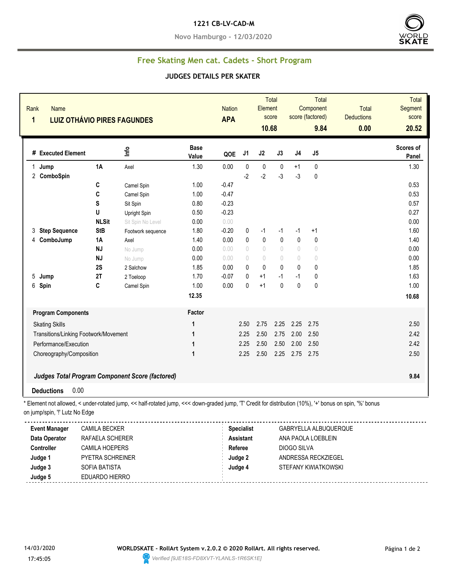#### **1221 CB-LV-CAD-M**

**Novo Hamburgo - 12/03/2020**



# **Free Skating Men cat. Cadets - Short Program**

#### **JUDGES DETAILS PER SKATER**

| Rank<br>1 | <b>Name</b>                                                                      |              | <b>LUIZ OTHÁVIO PIRES FAGUNDES</b>                                                                                                                       |                      | <b>Nation</b><br><b>APA</b> |                                       | Element<br>10.68                 | <b>Total</b><br>score            |                                  | <b>Total</b><br>Component<br>score (factored)<br>9.84 | <b>Total</b><br><b>Deductions</b><br>0.00 | <b>Total</b><br>Segment<br>score<br>20.52 |
|-----------|----------------------------------------------------------------------------------|--------------|----------------------------------------------------------------------------------------------------------------------------------------------------------|----------------------|-----------------------------|---------------------------------------|----------------------------------|----------------------------------|----------------------------------|-------------------------------------------------------|-------------------------------------------|-------------------------------------------|
|           | # Executed Element                                                               |              | Info                                                                                                                                                     | <b>Base</b><br>Value | QOE                         | J1                                    | J2                               | J3                               | J <sub>4</sub>                   | J5                                                    |                                           | Scores of<br>Panel                        |
|           | 1 Jump                                                                           | 1A           | Axel                                                                                                                                                     | 1.30                 | 0.00                        | $\pmb{0}$                             | $\pmb{0}$                        | $\pmb{0}$                        | $+1$                             | 0                                                     |                                           | 1.30                                      |
|           | 2 ComboSpin                                                                      |              |                                                                                                                                                          |                      |                             | $-2$                                  | $-2$                             | $-3$                             | $-3$                             | 0                                                     |                                           |                                           |
|           |                                                                                  | C            | Camel Spin                                                                                                                                               | 1.00                 | $-0.47$                     |                                       |                                  |                                  |                                  |                                                       |                                           | 0.53                                      |
|           |                                                                                  | C            | Camel Spin                                                                                                                                               | 1.00                 | $-0.47$                     |                                       |                                  |                                  |                                  |                                                       |                                           | 0.53                                      |
|           |                                                                                  | S            | Sit Spin                                                                                                                                                 | 0.80                 | $-0.23$                     |                                       |                                  |                                  |                                  |                                                       |                                           | 0.57                                      |
|           |                                                                                  | U            | Upright Spin                                                                                                                                             | 0.50                 | $-0.23$                     |                                       |                                  |                                  |                                  |                                                       |                                           | 0.27                                      |
|           |                                                                                  | <b>NLSit</b> | Sit Spin No Level                                                                                                                                        | 0.00                 | 0.00                        |                                       |                                  |                                  |                                  |                                                       |                                           | 0.00                                      |
| 3         | <b>Step Sequence</b>                                                             | <b>StB</b>   | Footwork sequence                                                                                                                                        | 1.80                 | $-0.20$                     | 0                                     | $-1$                             | -1                               | $-1$                             | +1                                                    |                                           | 1.60                                      |
| 4         | ComboJump                                                                        | 1A           | Axel                                                                                                                                                     | 1.40                 | 0.00                        | 0                                     | $\pmb{0}$                        | $\pmb{0}$                        | $\mathbf 0$                      | 0                                                     |                                           | 1.40                                      |
|           |                                                                                  | <b>NJ</b>    | No Jump                                                                                                                                                  | 0.00                 | 0.00                        | $\begin{array}{c} \n\end{array}$      | $\begin{array}{c} \n\end{array}$ | $\begin{array}{c} \n\end{array}$ | $\begin{array}{c} \n\end{array}$ | $\begin{matrix} 0 \end{matrix}$                       |                                           | 0.00                                      |
|           |                                                                                  | <b>NJ</b>    | No Jump                                                                                                                                                  | 0.00                 | 0.00                        | $\begin{array}{c} \n\end{array}$      | $\begin{array}{c} \n\end{array}$ | $\begin{array}{c} \n\end{array}$ | $\begin{array}{c} \n\end{array}$ | $\theta$                                              |                                           | 0.00                                      |
|           |                                                                                  | 2S           | 2 Salchow                                                                                                                                                | 1.85                 | 0.00                        | $\mathbf{0}$                          | $\mathbf{0}$                     | $\mathbf{0}$                     | $\mathbf{0}$                     | 0                                                     |                                           | 1.85                                      |
| 5         | Jump                                                                             | 2T           | 2 Toeloop                                                                                                                                                | 1.70                 | $-0.07$                     | 0                                     | $+1$                             | $-1$                             | $-1$                             | 0                                                     |                                           | 1.63                                      |
| 6         | Spin                                                                             | C            | Camel Spin                                                                                                                                               | 1.00                 | 0.00                        | $\mathbf{0}$                          | $+1$                             | $\mathbf{0}$                     | $\mathbf{0}$                     | 0                                                     |                                           | 1.00                                      |
|           |                                                                                  |              |                                                                                                                                                          | 12.35                |                             |                                       |                                  |                                  |                                  |                                                       |                                           | 10.68                                     |
|           | <b>Program Components</b>                                                        |              |                                                                                                                                                          | Factor               |                             |                                       |                                  |                                  |                                  |                                                       |                                           |                                           |
|           | <b>Skating Skills</b>                                                            |              |                                                                                                                                                          | $\mathbf{1}$         |                             | 2.50                                  | 2.75                             | 2.25                             | 2.25                             | 2.75                                                  |                                           | 2.50                                      |
|           | Transitions/Linking Footwork/Movement                                            |              |                                                                                                                                                          | 1                    |                             | 2.25                                  | 2.50                             | 2.75                             | 2.00                             | 2.50                                                  |                                           | 2.42                                      |
|           | Performance/Execution                                                            |              |                                                                                                                                                          | 1                    |                             | 2.25                                  | 2.50                             | 2.50                             |                                  | 2.00 2.50                                             |                                           | 2.42                                      |
|           | $\mathbf 1$<br>Choreography/Composition                                          |              |                                                                                                                                                          |                      |                             | 2.25                                  | 2.50                             | 2.25                             | 2.75 2.75                        |                                                       |                                           | 2.50                                      |
|           |                                                                                  |              | Judges Total Program Component Score (factored)                                                                                                          |                      |                             |                                       |                                  |                                  |                                  |                                                       |                                           | 9.84                                      |
|           | 0.00<br><b>Deductions</b>                                                        |              |                                                                                                                                                          |                      |                             |                                       |                                  |                                  |                                  |                                                       |                                           |                                           |
|           | on jump/spin, "!' Lutz No Edge                                                   |              | * Element not allowed, < under-rotated jump, << half-rotated jump, <<< down-graded jump, 'T' Credit for distribution (10%), '+' bonus on spin, '%' bonus |                      |                             |                                       |                                  |                                  |                                  |                                                       |                                           |                                           |
|           | <b>Event Manager</b><br><b>CAMILA BECKER</b><br>Data Operator<br>RAFAELA SCHERER |              |                                                                                                                                                          |                      |                             | <b>Specialist</b><br><b>Assistant</b> |                                  |                                  |                                  | GABRYELLA ALBUQUERQUE<br>ANA PAOLA LOEBLEIN           |                                           |                                           |

| RAFAELA SCHERER         | <b>Assistant</b> | ANA PAOLA LOEBLEIN  |
|-------------------------|------------------|---------------------|
| CAMILA HOEPERS          | Referee          | DIOGO SILVA         |
| <b>PYETRA SCHREINER</b> | Judge 2          | ANDRESSA RECKZIEGEL |
| SOFIA BATISTA           | Judge 4          | STEFANY KWIATKOWSKI |
| EDUARDO HIERRO          |                  |                     |
|                         |                  |                     |